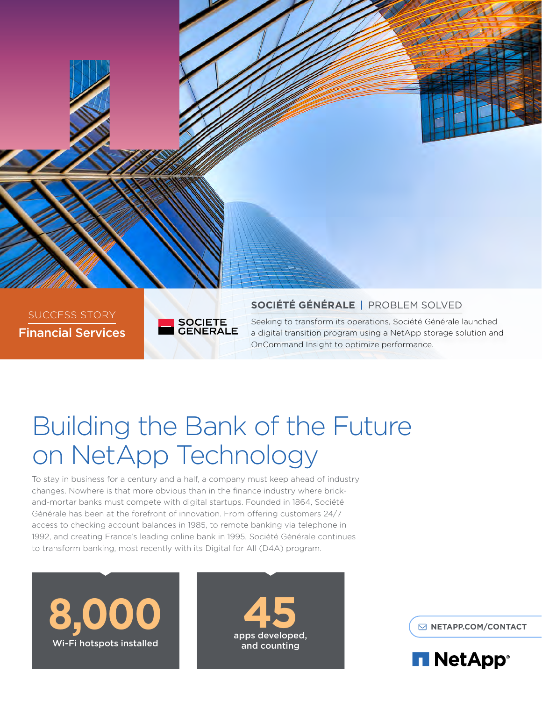

# Building the Bank of the Future on NetApp Technology

To stay in business for a century and a half, a company must keep ahead of industry changes. Nowhere is that more obvious than in the finance industry where brickand-mortar banks must compete with digital startups. Founded in 1864, Société Générale has been at the forefront of innovation. From offering customers 24/7 access to checking account balances in 1985, to remote banking via telephone in 1992, and creating France's leading online bank in 1995, Société Générale continues to transform banking, most recently with its Digital for All (D4A) program.





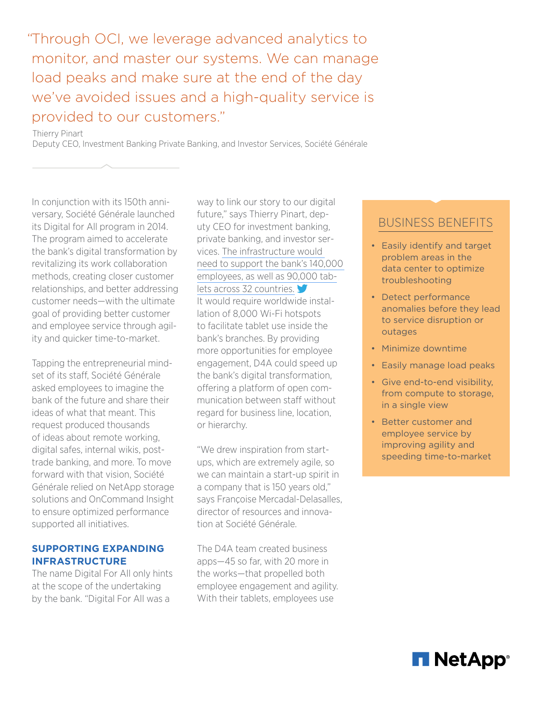"Through OCI, we leverage advanced analytics to monitor, and master our systems. We can manage load peaks and make sure at the end of the day we've avoided issues and a high-quality service is provided to our customers."

Thierry Pinart

Deputy CEO, Investment Banking Private Banking, and Investor Services, Société Générale

In conjunction with its 150th anniversary, Société Générale launched its Digital for All program in 2014. The program aimed to accelerate the bank's digital transformation by revitalizing its work collaboration methods, creating closer customer relationships, and better addressing customer needs—with the ultimate goal of providing better customer and employee service through agility and quicker time-to-market.

Tapping the entrepreneurial mindset of its staff, Société Générale asked employees to imagine the bank of the future and share their ideas of what that meant. This request produced thousands of ideas about remote working, digital safes, internal wikis, posttrade banking, and more. To move forward with that vision, Société Générale relied on NetApp storage solutions and OnCommand Insight to ensure optimized performance supported all initiatives.

### **SUPPORTING EXPANDING INFRASTRUCTURE**

The name Digital For All only hints at the scope of the undertaking by the bank. "Digital For All was a

way to link our story to our digital future," says Thierry Pinart, deputy CEO for investment banking, private banking, and investor services. [The infrastructure would](https://ctt.ec/n366m)  [need to support the bank's 140,000](https://ctt.ec/n366m)  [employees, as well as 90,000 tab](https://ctt.ec/n366m)[lets across 32 countries.](https://ctt.ec/n366m) It would require worldwide installation of 8,000 Wi-Fi hotspots to facilitate tablet use inside the bank's branches. By providing more opportunities for employee engagement, D4A could speed up the bank's digital transformation, offering a platform of open communication between staff without regard for business line, location, or hierarchy.

"We drew inspiration from startups, which are extremely agile, so we can maintain a start-up spirit in a company that is 150 years old," says Françoise Mercadal-Delasalles, director of resources and innovation at Société Générale.

The D4A team created business apps—45 so far, with 20 more in the works—that propelled both employee engagement and agility. With their tablets, employees use

## BUSINESS BENEFITS

- Easily identify and target problem areas in the data center to optimize troubleshooting
- Detect performance anomalies before they lead to service disruption or outages
- Minimize downtime
- Easily manage load peaks
- Give end-to-end visibility, from compute to storage, in a single view
- Better customer and employee service by improving agility and speeding time-to-market

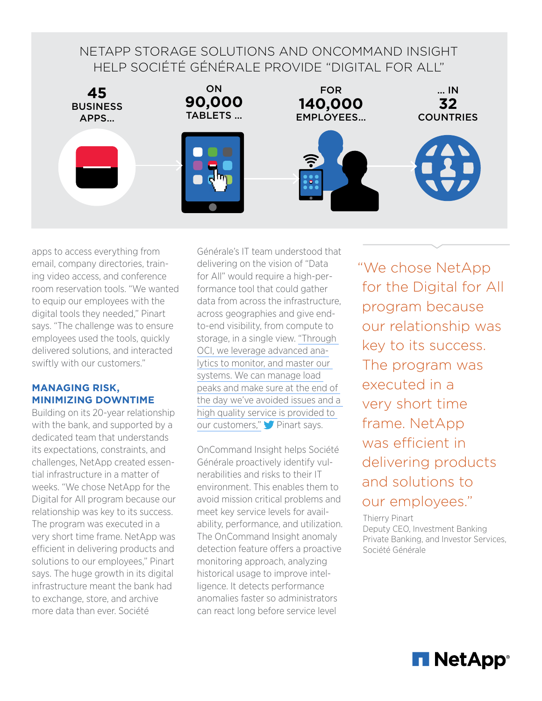## NETAPP STORAGE SOLUTIONS AND ONCOMMAND INSIGHT HELP SOCIÉTÉ GÉNÉRALE PROVIDE "DIGITAL FOR ALL"



apps to access everything from email, company directories, training video access, and conference room reservation tools. "We wanted to equip our employees with the digital tools they needed," Pinart says. "The challenge was to ensure employees used the tools, quickly delivered solutions, and interacted swiftly with our customers."

## **MANAGING RISK, MINIMIZING DOWNTIME**

Building on its 20-year relationship with the bank, and supported by a dedicated team that understands its expectations, constraints, and challenges, NetApp created essential infrastructure in a matter of weeks. "We chose NetApp for the Digital for All program because our relationship was key to its success. The program was executed in a very short time frame. NetApp was efficient in delivering products and solutions to our employees," Pinart says. The huge growth in its digital infrastructure meant the bank had to exchange, store, and archive more data than ever. Société

Générale's IT team understood that delivering on the vision of "Data for All" would require a high-performance tool that could gather data from across the infrastructure, across geographies and give endto-end visibility, from compute to storage, in a single view. ["Through](https://ctt.ec/UYs7C)  [OCI, we leverage advanced ana](https://ctt.ec/UYs7C)[lytics to monitor, and master our](https://ctt.ec/UYs7C)  [systems. We can manage load](https://ctt.ec/UYs7C)  [peaks and make sure at the end of](https://ctt.ec/UYs7C)  [the day we've avoided issues and a](https://ctt.ec/UYs7C)  [high quality service is provided to](https://ctt.ec/UYs7C)  [our customers,"](https://ctt.ec/UYs7C) Pinart says.

OnCommand Insight helps Société Générale proactively identify vulnerabilities and risks to their IT environment. This enables them to avoid mission critical problems and meet key service levels for availability, performance, and utilization. The OnCommand Insight anomaly detection feature offers a proactive monitoring approach, analyzing historical usage to improve intelligence. It detects performance anomalies faster so administrators can react long before service level

"We chose NetApp for the Digital for All program because our relationship was key to its success. The program was executed in a very short time frame. NetApp was efficient in delivering products and solutions to our employees."

Thierry Pinart Deputy CEO, Investment Banking Private Banking, and Investor Services, Société Générale